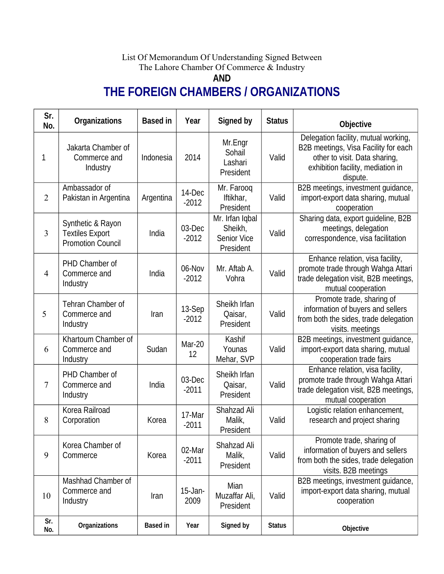## List Of Memorandum Of Understanding Signed Between The Lahore Chamber Of Commerce & Industry

**AND**

## **THE FOREIGN CHAMBERS / ORGANIZATIONS**

| Sr.<br>No.     | <b>Organizations</b>                                                    | <b>Based in</b> | Year              | Signed by                                              | <b>Status</b> | <b>Objective</b>                                                                                                                                               |
|----------------|-------------------------------------------------------------------------|-----------------|-------------------|--------------------------------------------------------|---------------|----------------------------------------------------------------------------------------------------------------------------------------------------------------|
| 1              | Jakarta Chamber of<br>Commerce and<br>Industry                          | Indonesia       | 2014              | Mr.Engr<br>Sohail<br>Lashari<br>President              | Valid         | Delegation facility, mutual working,<br>B2B meetings, Visa Facility for each<br>other to visit. Data sharing,<br>exhibition facility, mediation in<br>dispute. |
| $\overline{2}$ | Ambassador of<br>Pakistan in Argentina                                  | Argentina       | 14-Dec<br>$-2012$ | Mr. Farooq<br>Iftikhar,<br>President                   | Valid         | B2B meetings, investment guidance,<br>import-export data sharing, mutual<br>cooperation                                                                        |
| 3              | Synthetic & Rayon<br><b>Textiles Export</b><br><b>Promotion Council</b> | India           | 03-Dec<br>$-2012$ | Mr. Irfan Iqbal<br>Sheikh,<br>Senior Vice<br>President | Valid         | Sharing data, export guideline, B2B<br>meetings, delegation<br>correspondence, visa facilitation                                                               |
| $\overline{4}$ | PHD Chamber of<br>Commerce and<br>Industry                              | India           | 06-Nov<br>$-2012$ | Mr. Aftab A.<br>Vohra                                  | Valid         | Enhance relation, visa facility,<br>promote trade through Wahga Attari<br>trade delegation visit, B2B meetings,<br>mutual cooperation                          |
| 5              | Tehran Chamber of<br>Commerce and<br>Industry                           | Iran            | 13-Sep<br>$-2012$ | Sheikh Irfan<br>Qaisar,<br>President                   | Valid         | Promote trade, sharing of<br>information of buyers and sellers<br>from both the sides, trade delegation<br>visits. meetings                                    |
| 6              | Khartoum Chamber of<br>Commerce and<br>Industry                         | Sudan           | Mar-20<br>12      | Kashif<br>Younas<br>Mehar, SVP                         | Valid         | B2B meetings, investment guidance,<br>import-export data sharing, mutual<br>cooperation trade fairs                                                            |
| 7              | PHD Chamber of<br>Commerce and<br>Industry                              | India           | 03-Dec<br>$-2011$ | Sheikh Irfan<br>Qaisar,<br>President                   | Valid         | Enhance relation, visa facility,<br>promote trade through Wahga Attari<br>trade delegation visit, B2B meetings,<br>mutual cooperation                          |
| 8              | Korea Railroad<br>Corporation                                           | Korea           | 17-Mar<br>$-2011$ | Shahzad Ali<br>Malik,<br>President                     | Valid         | Logistic relation enhancement,<br>research and project sharing                                                                                                 |
| 9              | Korea Chamber of<br>Commerce                                            | Korea           | 02-Mar<br>$-2011$ | Shahzad Ali<br>Malik,<br>President                     | Valid         | Promote trade, sharing of<br>information of buyers and sellers<br>from both the sides, trade delegation<br>visits. B2B meetings                                |
| 10             | Mashhad Chamber of<br>Commerce and<br>Industry                          | Iran            | 15-Jan-<br>2009   | Mian<br>Muzaffar Ali,<br>President                     | Valid         | B2B meetings, investment guidance,<br>import-export data sharing, mutual<br>cooperation                                                                        |
| Sr.<br>No.     | <b>Organizations</b>                                                    | <b>Based in</b> | Year              | Signed by                                              | <b>Status</b> | Objective                                                                                                                                                      |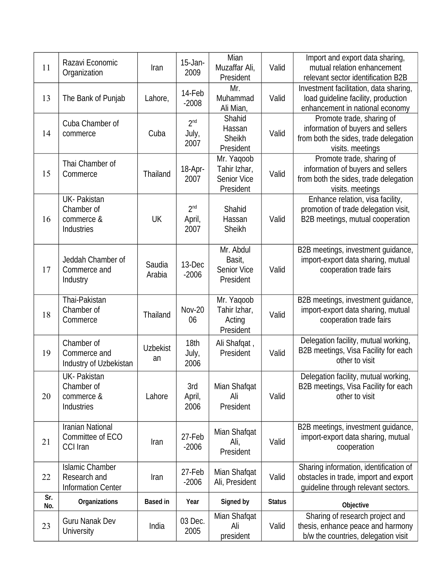|     | Razavi Economic                        |                 | 15-Jan-         | Mian                       |               | Import and export data sharing,                                          |
|-----|----------------------------------------|-----------------|-----------------|----------------------------|---------------|--------------------------------------------------------------------------|
| 11  | Organization                           | Iran            | 2009            | Muzaffar Ali,              | Valid         | mutual relation enhancement                                              |
|     |                                        |                 |                 | President                  |               | relevant sector identification B2B                                       |
|     |                                        |                 | 14-Feb          | Mr.                        |               | Investment facilitation, data sharing,                                   |
| 13  | The Bank of Punjab                     | Lahore,         | $-2008$         | Muhammad                   | Valid         | load guideline facility, production                                      |
|     |                                        |                 |                 | Ali Mian,                  |               | enhancement in national economy                                          |
|     | Cuba Chamber of                        |                 | 2 <sup>nd</sup> | Shahid                     |               | Promote trade, sharing of                                                |
| 14  | commerce                               | Cuba            | July,           | Hassan                     | Valid         | information of buyers and sellers                                        |
|     |                                        |                 | 2007            | <b>Sheikh</b>              |               | from both the sides, trade delegation                                    |
|     |                                        |                 |                 | President                  |               | visits. meetings                                                         |
|     | Thai Chamber of                        |                 |                 | Mr. Yaqoob                 |               | Promote trade, sharing of                                                |
| 15  | Commerce                               | Thailand        | 18-Apr-         | Tahir Izhar,               | Valid         | information of buyers and sellers                                        |
|     |                                        |                 | 2007            | <b>Senior Vice</b>         |               | from both the sides, trade delegation                                    |
|     |                                        |                 |                 | President                  |               | visits. meetings                                                         |
|     | <b>UK-Pakistan</b>                     |                 |                 |                            |               | Enhance relation, visa facility,                                         |
|     | Chamber of                             |                 | 2 <sup>nd</sup> | Shahid                     |               | promotion of trade delegation visit,                                     |
| 16  | commerce &                             | UK              | April,          | Hassan                     | Valid         | B2B meetings, mutual cooperation                                         |
|     | <b>Industries</b>                      |                 | 2007            | <b>Sheikh</b>              |               |                                                                          |
|     |                                        |                 |                 |                            |               |                                                                          |
|     |                                        |                 |                 | Mr. Abdul                  |               | B2B meetings, investment guidance,                                       |
|     | Jeddah Chamber of                      | Saudia          | 13-Dec          | Basit,                     |               | import-export data sharing, mutual                                       |
| 17  | Commerce and                           | Arabia          | $-2006$         | <b>Senior Vice</b>         | Valid         | cooperation trade fairs                                                  |
|     | Industry                               |                 |                 | President                  |               |                                                                          |
|     | Thai-Pakistan                          |                 |                 |                            |               |                                                                          |
|     | Chamber of                             |                 | <b>Nov-20</b>   | Mr. Yaqoob<br>Tahir Izhar, |               | B2B meetings, investment guidance,<br>import-export data sharing, mutual |
| 18  | Commerce                               | Thailand        | 06              | Acting                     | Valid         | cooperation trade fairs                                                  |
|     |                                        |                 |                 | President                  |               |                                                                          |
|     |                                        |                 |                 |                            |               | Delegation facility, mutual working,                                     |
|     | Chamber of                             | <b>Uzbekist</b> | 18th            | Ali Shafqat,               |               | B2B meetings, Visa Facility for each                                     |
| 19  | Commerce and<br>Industry of Uzbekistan | an              | July,<br>2006   | President                  | Valid         | other to visit                                                           |
|     |                                        |                 |                 |                            |               |                                                                          |
|     | <b>UK-Pakistan</b>                     |                 |                 |                            |               | Delegation facility, mutual working,                                     |
|     | Chamber of                             |                 | 3rd             | Mian Shafqat               |               | B2B meetings, Visa Facility for each                                     |
| 20  | commerce &                             | Lahore          | April,          | Ali                        | Valid         | other to visit                                                           |
|     | <b>Industries</b>                      |                 | 2006            | President                  |               |                                                                          |
|     | <b>Iranian National</b>                |                 |                 |                            |               |                                                                          |
|     | Committee of ECO                       |                 | 27-Feb          | Mian Shafqat               |               | B2B meetings, investment guidance,<br>import-export data sharing, mutual |
| 21  | <b>CCI Iran</b>                        | Iran            | $-2006$         | Ali,                       | Valid         |                                                                          |
|     |                                        |                 |                 | President                  |               | cooperation                                                              |
|     | <b>Islamic Chamber</b>                 |                 |                 |                            |               | Sharing information, identification of                                   |
| 22  | Research and                           | Iran            | 27-Feb          | Mian Shafqat               | Valid         | obstacles in trade, import and export                                    |
|     | <b>Information Center</b>              |                 | $-2006$         | Ali, President             |               | guideline through relevant sectors.                                      |
| Sr. |                                        |                 |                 |                            |               |                                                                          |
| No. | <b>Organizations</b>                   | <b>Based in</b> | Year            | <b>Signed by</b>           | <b>Status</b> | Objective                                                                |
|     | <b>Guru Nanak Dev</b>                  |                 | 03 Dec.         | Mian Shafqat               |               | Sharing of research project and                                          |
| 23  | <b>University</b>                      | India           | 2005            | Ali                        | Valid         | thesis, enhance peace and harmony                                        |
|     |                                        |                 |                 | president                  |               | b/w the countries, delegation visit                                      |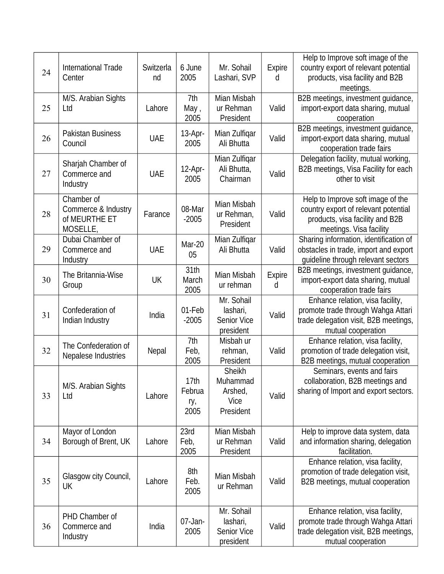| 24 | International Trade<br>Center                                  | Switzerla<br>nd | 6 June<br>2005                | Mr. Sohail<br>Lashari, SVP                                | Expire<br>d | Help to Improve soft image of the<br>country export of relevant potential<br>products, visa facility and B2B<br>meetings.               |
|----|----------------------------------------------------------------|-----------------|-------------------------------|-----------------------------------------------------------|-------------|-----------------------------------------------------------------------------------------------------------------------------------------|
| 25 | M/S. Arabian Sights<br>Ltd                                     | Lahore          | 7th<br>May,<br>2005           | Mian Misbah<br>ur Rehman<br>President                     | Valid       | B2B meetings, investment guidance,<br>import-export data sharing, mutual<br>cooperation                                                 |
| 26 | <b>Pakistan Business</b><br>Council                            | <b>UAE</b>      | 13-Apr-<br>2005               | Mian Zulfiqar<br>Ali Bhutta                               | Valid       | B2B meetings, investment guidance,<br>import-export data sharing, mutual<br>cooperation trade fairs                                     |
| 27 | Sharjah Chamber of<br>Commerce and<br>Industry                 | <b>UAE</b>      | 12-Apr-<br>2005               | Mian Zulfiqar<br>Ali Bhutta,<br>Chairman                  | Valid       | Delegation facility, mutual working,<br>B2B meetings, Visa Facility for each<br>other to visit                                          |
| 28 | Chamber of<br>Commerce & Industry<br>of MEURTHE ET<br>MOSELLE, | Farance         | 08-Mar<br>$-2005$             | Mian Misbah<br>ur Rehman,<br>President                    | Valid       | Help to Improve soft image of the<br>country export of relevant potential<br>products, visa facility and B2B<br>meetings. Visa facility |
| 29 | Dubai Chamber of<br>Commerce and<br>Industry                   | <b>UAE</b>      | <b>Mar-20</b><br>05           | Mian Zulfiqar<br>Ali Bhutta                               | Valid       | Sharing information, identification of<br>obstacles in trade, import and export<br>guideline through relevant sectors                   |
| 30 | The Britannia-Wise<br>Group                                    | <b>UK</b>       | 31th<br>March<br>2005         | Mian Misbah<br>ur rehman                                  | Expire<br>d | B2B meetings, investment guidance,<br>import-export data sharing, mutual<br>cooperation trade fairs                                     |
| 31 | Confederation of<br>Indian Industry                            | India           | 01-Feb<br>$-2005$             | Mr. Sohail<br>lashari,<br>Senior Vice<br>president        | Valid       | Enhance relation, visa facility,<br>promote trade through Wahga Attari<br>trade delegation visit, B2B meetings,<br>mutual cooperation   |
| 32 | The Confederation of<br>Nepalese Industries                    | Nepal           | 7th<br>Feb,<br>2005           | Misbah ur<br>rehman,<br>President                         | Valid       | Enhance relation, visa facility,<br>promotion of trade delegation visit,<br>B2B meetings, mutual cooperation                            |
| 33 | M/S. Arabian Sights<br>Ltd                                     | Lahore          | 17th<br>Februa<br>ry,<br>2005 | Sheikh<br>Muhammad<br>Arshed,<br>Vice<br>President        | Valid       | Seminars, events and fairs<br>collaboration, B2B meetings and<br>sharing of Import and export sectors.                                  |
| 34 | Mayor of London<br>Borough of Brent, UK                        | Lahore          | 23rd<br>Feb,<br>2005          | Mian Misbah<br>ur Rehman<br>President                     | Valid       | Help to improve data system, data<br>and information sharing, delegation<br>facilitation.                                               |
| 35 | Glasgow city Council,<br>UK                                    | Lahore          | 8th<br>Feb.<br>2005           | Mian Misbah<br>ur Rehman                                  | Valid       | Enhance relation, visa facility,<br>promotion of trade delegation visit,<br>B2B meetings, mutual cooperation                            |
| 36 | PHD Chamber of<br>Commerce and<br>Industry                     | India           | 07-Jan-<br>2005               | Mr. Sohail<br>lashari,<br><b>Senior Vice</b><br>president | Valid       | Enhance relation, visa facility,<br>promote trade through Wahga Attari<br>trade delegation visit, B2B meetings,<br>mutual cooperation   |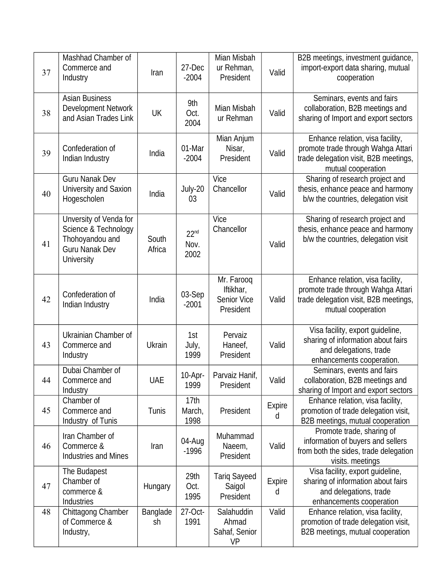| 37 | Mashhad Chamber of<br>Commerce and<br>Industry                                                                  | Iran                  | 27-Dec<br>$-2004$                | Mian Misbah<br>ur Rehman,<br>President              | Valid              | B2B meetings, investment guidance,<br>import-export data sharing, mutual<br>cooperation                                               |
|----|-----------------------------------------------------------------------------------------------------------------|-----------------------|----------------------------------|-----------------------------------------------------|--------------------|---------------------------------------------------------------------------------------------------------------------------------------|
| 38 | <b>Asian Business</b><br><b>Development Network</b><br>and Asian Trades Link                                    | <b>UK</b>             | 9th<br>Oct.<br>2004              | Mian Misbah<br>ur Rehman                            | Valid              | Seminars, events and fairs<br>collaboration, B2B meetings and<br>sharing of Import and export sectors                                 |
| 39 | Confederation of<br>Indian Industry                                                                             | India                 | 01-Mar<br>$-2004$                | Mian Anjum<br>Nisar,<br>President                   | Valid              | Enhance relation, visa facility,<br>promote trade through Wahga Attari<br>trade delegation visit, B2B meetings,<br>mutual cooperation |
| 40 | <b>Guru Nanak Dev</b><br>University and Saxion<br>Hogescholen                                                   | India                 | July-20<br>03                    | Vice<br>Chancellor                                  | Valid              | Sharing of research project and<br>thesis, enhance peace and harmony<br>b/w the countries, delegation visit                           |
| 41 | Unversity of Venda for<br>Science & Technology<br>Thohoyandou and<br><b>Guru Nanak Dev</b><br><b>University</b> | South<br>Africa       | 22 <sup>nd</sup><br>Nov.<br>2002 | Vice<br>Chancellor                                  | Valid              | Sharing of research project and<br>thesis, enhance peace and harmony<br>b/w the countries, delegation visit                           |
| 42 | Confederation of<br>Indian Industry                                                                             | India                 | 03-Sep<br>$-2001$                | Mr. Farooq<br>Iftikhar,<br>Senior Vice<br>President | Valid              | Enhance relation, visa facility,<br>promote trade through Wahga Attari<br>trade delegation visit, B2B meetings,<br>mutual cooperation |
| 43 | Ukrainian Chamber of<br>Commerce and<br>Industry                                                                | Ukrain                | 1st<br>July,<br>1999             | Pervaiz<br>Haneef,<br>President                     | Valid              | Visa facility, export guideline,<br>sharing of information about fairs<br>and delegations, trade<br>enhancements cooperation.         |
| 44 | Dubai Chamber of<br>Commerce and<br>Industry                                                                    | <b>UAE</b>            | 10-Apr-<br>1999                  | Parvaiz Hanif,<br>President                         | Valid              | Seminars, events and fairs<br>collaboration, B2B meetings and<br>sharing of Import and export sectors                                 |
| 45 | Chamber of<br>Commerce and<br>Industry of Tunis                                                                 | Tunis                 | 17th<br>March,<br>1998           | President                                           | <b>Expire</b><br>d | Enhance relation, visa facility,<br>promotion of trade delegation visit,<br>B2B meetings, mutual cooperation                          |
| 46 | Iran Chamber of<br>Commerce &<br><b>Industries and Mines</b>                                                    | Iran                  | 04-Aug<br>$-1996$                | Muhammad<br>Naeem,<br>President                     | Valid              | Promote trade, sharing of<br>information of buyers and sellers<br>from both the sides, trade delegation<br>visits. meetings           |
| 47 | The Budapest<br>Chamber of<br>commerce &<br>Industries                                                          | Hungary               | 29th<br>Oct.<br>1995             | <b>Tariq Sayeed</b><br>Saigol<br>President          | <b>Expire</b><br>d | Visa facility, export guideline,<br>sharing of information about fairs<br>and delegations, trade<br>enhancements cooperation          |
| 48 | Chittagong Chamber<br>of Commerce &<br>Industry,                                                                | <b>Banglade</b><br>sh | 27-Oct-<br>1991                  | Salahuddin<br>Ahmad<br>Sahaf, Senior<br><b>VP</b>   | Valid              | Enhance relation, visa facility,<br>promotion of trade delegation visit,<br>B2B meetings, mutual cooperation                          |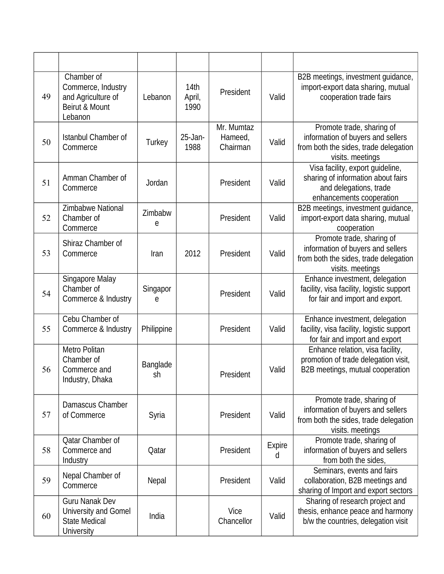| 49 | Chamber of<br>Commerce, Industry<br>and Agriculture of<br>Beirut & Mount<br>Lebanon | Lebanon               | 14th<br>April,<br>1990 | President                         | Valid              | B2B meetings, investment guidance,<br>import-export data sharing, mutual<br>cooperation trade fairs                          |
|----|-------------------------------------------------------------------------------------|-----------------------|------------------------|-----------------------------------|--------------------|------------------------------------------------------------------------------------------------------------------------------|
| 50 | <b>Istanbul Chamber of</b><br>Commerce                                              | Turkey                | $25$ -Jan-<br>1988     | Mr. Mumtaz<br>Hameed,<br>Chairman | Valid              | Promote trade, sharing of<br>information of buyers and sellers<br>from both the sides, trade delegation<br>visits. meetings  |
| 51 | Amman Chamber of<br>Commerce                                                        | Jordan                |                        | President                         | Valid              | Visa facility, export guideline,<br>sharing of information about fairs<br>and delegations, trade<br>enhancements cooperation |
| 52 | Zimbabwe National<br>Chamber of<br>Commerce                                         | Zimbabw<br>e          |                        | President                         | Valid              | B2B meetings, investment guidance,<br>import-export data sharing, mutual<br>cooperation                                      |
| 53 | Shiraz Chamber of<br>Commerce                                                       | Iran                  | 2012                   | President                         | Valid              | Promote trade, sharing of<br>information of buyers and sellers<br>from both the sides, trade delegation<br>visits. meetings  |
| 54 | Singapore Malay<br>Chamber of<br>Commerce & Industry                                | Singapor<br>e         |                        | President                         | Valid              | Enhance investment, delegation<br>facility, visa facility, logistic support<br>for fair and import and export.               |
| 55 | Cebu Chamber of<br>Commerce & Industry                                              | Philippine            |                        | President                         | Valid              | Enhance investment, delegation<br>facility, visa facility, logistic support<br>for fair and import and export                |
| 56 | Metro Politan<br>Chamber of<br>Commerce and<br>Industry, Dhaka                      | <b>Banglade</b><br>sh |                        | President                         | Valid              | Enhance relation, visa facility,<br>promotion of trade delegation visit,<br>B2B meetings, mutual cooperation                 |
| 57 | Damascus Chamber<br>of Commerce                                                     | Syria                 |                        | President                         | Valid              | Promote trade, sharing of<br>information of buyers and sellers<br>from both the sides, trade delegation<br>visits. meetings  |
| 58 | Qatar Chamber of<br>Commerce and<br>Industry                                        | Qatar                 |                        | President                         | <b>Expire</b><br>d | Promote trade, sharing of<br>information of buyers and sellers<br>from both the sides,                                       |
| 59 | Nepal Chamber of<br>Commerce                                                        | Nepal                 |                        | President                         | Valid              | Seminars, events and fairs<br>collaboration, B2B meetings and<br>sharing of Import and export sectors                        |
| 60 | <b>Guru Nanak Dev</b><br>University and Gomel<br><b>State Medical</b><br>University | India                 |                        | Vice<br>Chancellor                | Valid              | Sharing of research project and<br>thesis, enhance peace and harmony<br>b/w the countries, delegation visit                  |